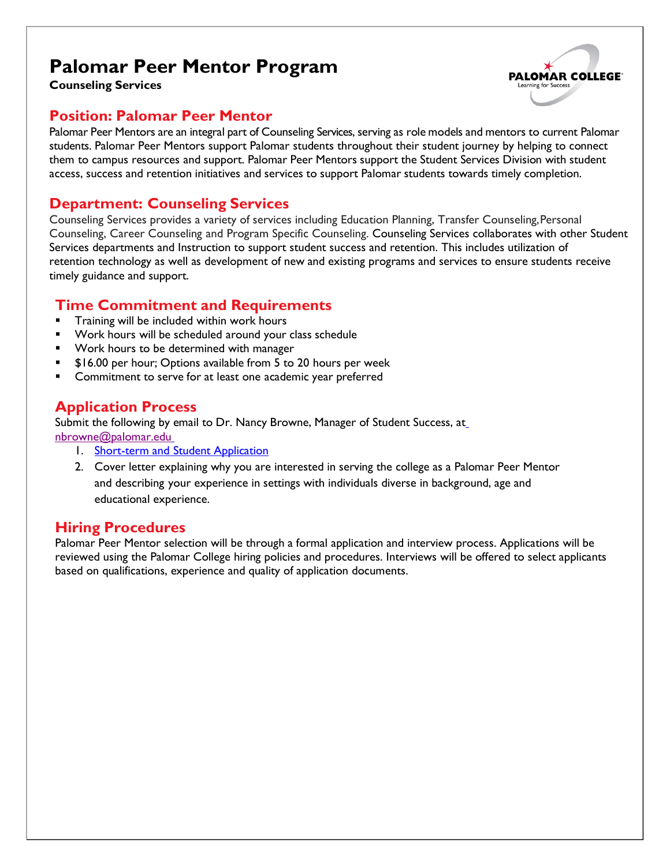# **Palomar Peer Mentor Program**



**Counseling Services**

#### **Position: Palomar Peer Mentor**

Palomar Peer Mentors are an integral part of Counseling Services, serving as role models and mentors to current Palomar students. Palomar Peer Mentors support Palomar students throughout their student journey by helping to connect them to campus resources and support. Palomar Peer Mentors support the Student Services Division with student access, success and retention initiatives and services to support Palomar students towards timely completion.

#### **Department: Counseling Services**

Counseling Services provides a variety of services including Education Planning, Transfer Counseling,Personal Counseling, Career Counseling and Program Specific Counseling. Counseling Services collaborates with other Student Services departments and Instruction to support student success and retention. This includes utilization of retention technology as well as development of new and existing programs and services to ensure students receive timely guidance and support.

#### **Time Commitment and Requirements**

- § Training will be included within work hours
- § Work hours will be scheduled around your class schedule
- Work hours to be determined with manager
- § \$16.00 per hour; Options available from 5 to 20 hours per week
- Commitment to serve for at least one academic year preferred

### **Application Process**

Submit the following by email to Dr. Nancy Browne, Manager of Student Success, at nbrowne@palomar.edu

- 1. Short-term and Student Application
	- 2. Cover letter explaining why you are interested in serving the college as a Palomar Peer Mentor and describing your experience in settings with individuals diverse in background, age and educational experience.

#### **Hiring Procedures**

Palomar Peer Mentor selection will be through a formal application and interview process. Applications will be reviewed using the Palomar College hiring policies and procedures. Interviews will be offered to select applicants based on qualifications, experience and quality of application documents.